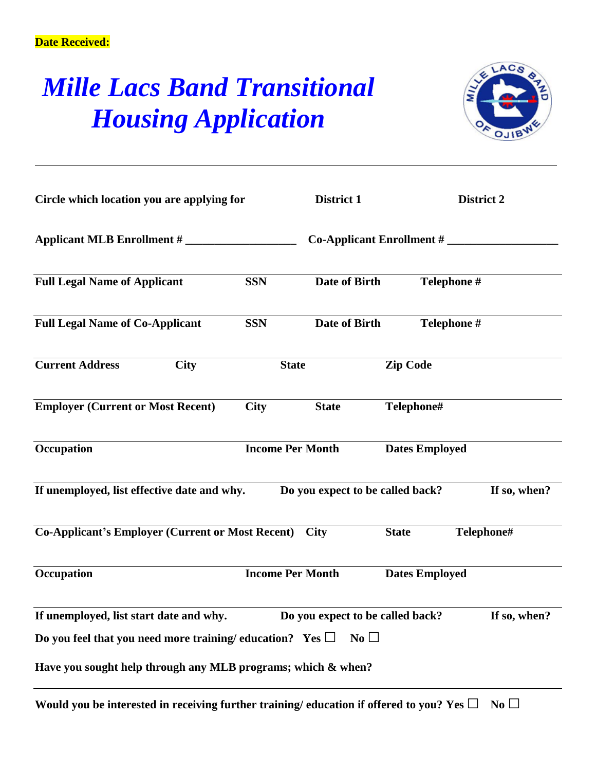## *Mille Lacs Band Transitional Housing Application*



| Circle which location you are applying for<br>Applicant MLB Enrollment #                      |                         | District 1                       | <b>District 2</b> |                       |              |
|-----------------------------------------------------------------------------------------------|-------------------------|----------------------------------|-------------------|-----------------------|--------------|
|                                                                                               |                         | $Co$ -Applicant Enrollment #     |                   |                       |              |
| <b>Full Legal Name of Applicant</b>                                                           | <b>SSN</b>              | Date of Birth                    |                   | Telephone #           |              |
| <b>Full Legal Name of Co-Applicant</b>                                                        | <b>SSN</b>              | Date of Birth                    |                   | Telephone #           |              |
| <b>Current Address</b><br><b>City</b>                                                         |                         | <b>Zip Code</b><br><b>State</b>  |                   |                       |              |
| <b>Employer (Current or Most Recent)</b>                                                      | <b>City</b>             | <b>State</b>                     |                   | Telephone#            |              |
| Occupation                                                                                    |                         | <b>Income Per Month</b>          |                   | <b>Dates Employed</b> |              |
| If unemployed, list effective date and why.                                                   |                         | Do you expect to be called back? |                   |                       | If so, when? |
| <b>Co-Applicant's Employer (Current or Most Recent)</b>                                       |                         | <b>City</b>                      | <b>State</b>      | Telephone#            |              |
| Occupation                                                                                    | <b>Income Per Month</b> |                                  |                   | <b>Dates Employed</b> |              |
| If unemployed, list start date and why.                                                       |                         | Do you expect to be called back? |                   |                       | If so, when? |
| Do you feel that you need more training/education? Yes $\Box$                                 |                         | $\overline{N_0}$                 |                   |                       |              |
| Have you sought help through any MLB programs; which & when?                                  |                         |                                  |                   |                       |              |
| Would you be interested in receiving further training/education if offered to you? Yes $\Box$ |                         |                                  |                   |                       | No           |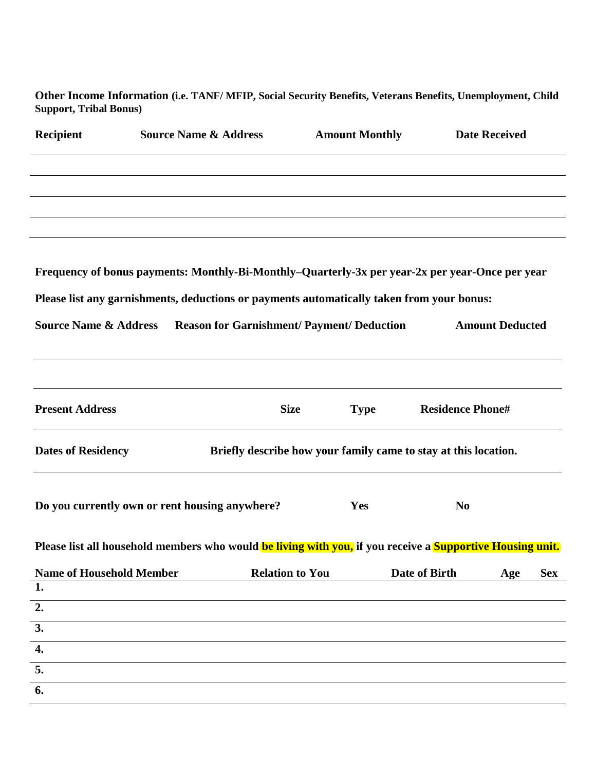**Other Income Information (i.e. TANF/ MFIP, Social Security Benefits, Veterans Benefits, Unemployment, Child Support, Tribal Bonus)**

| <b>Recipient</b>                 | <b>Source Name &amp; Address</b>                                                                                 | <b>Amount Monthly</b>                             |             |                                                                 | <b>Date Received</b>   |            |  |
|----------------------------------|------------------------------------------------------------------------------------------------------------------|---------------------------------------------------|-------------|-----------------------------------------------------------------|------------------------|------------|--|
|                                  |                                                                                                                  |                                                   |             |                                                                 |                        |            |  |
|                                  |                                                                                                                  |                                                   |             |                                                                 |                        |            |  |
|                                  |                                                                                                                  |                                                   |             |                                                                 |                        |            |  |
|                                  |                                                                                                                  |                                                   |             |                                                                 |                        |            |  |
|                                  | Frequency of bonus payments: Monthly-Bi-Monthly-Quarterly-3x per year-2x per year-Once per year                  |                                                   |             |                                                                 |                        |            |  |
|                                  | Please list any garnishments, deductions or payments automatically taken from your bonus:                        |                                                   |             |                                                                 |                        |            |  |
|                                  |                                                                                                                  |                                                   |             |                                                                 |                        |            |  |
| <b>Source Name &amp; Address</b> |                                                                                                                  | <b>Reason for Garnishment/ Payment/ Deduction</b> |             |                                                                 | <b>Amount Deducted</b> |            |  |
|                                  |                                                                                                                  |                                                   |             |                                                                 |                        |            |  |
|                                  |                                                                                                                  |                                                   |             |                                                                 |                        |            |  |
| <b>Present Address</b>           |                                                                                                                  | <b>Size</b>                                       | <b>Type</b> | <b>Residence Phone#</b>                                         |                        |            |  |
| <b>Dates of Residency</b>        |                                                                                                                  |                                                   |             | Briefly describe how your family came to stay at this location. |                        |            |  |
|                                  |                                                                                                                  |                                                   |             |                                                                 |                        |            |  |
|                                  | Do you currently own or rent housing anywhere?                                                                   |                                                   | Yes         | N <sub>0</sub>                                                  |                        |            |  |
|                                  | Please list all household members who would be living with you, if you receive a <b>Supportive Housing unit.</b> |                                                   |             |                                                                 |                        |            |  |
| <b>Name of Household Member</b>  |                                                                                                                  | <b>Relation to You</b>                            |             | Date of Birth                                                   | Age                    | <b>Sex</b> |  |
| 1.                               |                                                                                                                  |                                                   |             |                                                                 |                        |            |  |
| 2.                               |                                                                                                                  |                                                   |             |                                                                 |                        |            |  |
| 3.                               |                                                                                                                  |                                                   |             |                                                                 |                        |            |  |
| $\boldsymbol{4}$ .               |                                                                                                                  |                                                   |             |                                                                 |                        |            |  |
| 5.                               |                                                                                                                  |                                                   |             |                                                                 |                        |            |  |
| 6.                               |                                                                                                                  |                                                   |             |                                                                 |                        |            |  |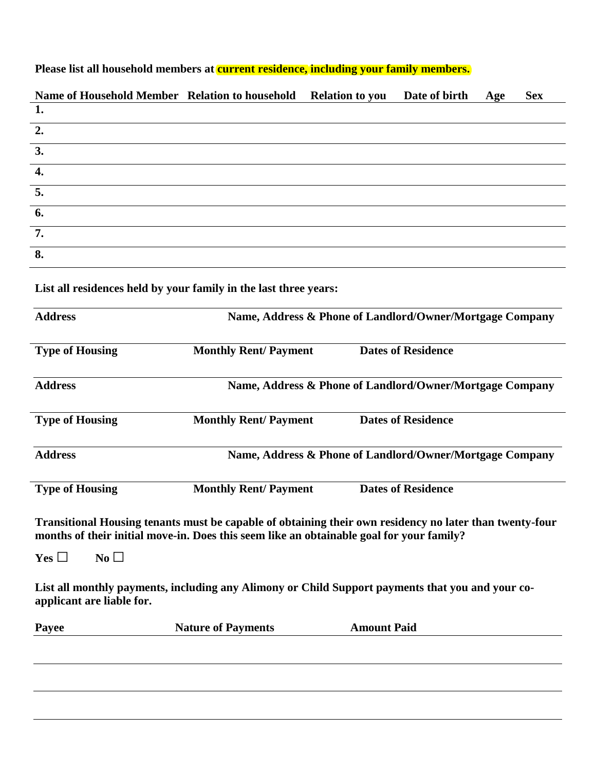| Please list all household members at current residence, including your family members. |  |  |
|----------------------------------------------------------------------------------------|--|--|
|                                                                                        |  |  |
|                                                                                        |  |  |

| Name of Household Member Relation to household                                                                                                                                                      |                                                          | <b>Relation to you</b>                                    | Date of birth             | Age | <b>Sex</b> |  |
|-----------------------------------------------------------------------------------------------------------------------------------------------------------------------------------------------------|----------------------------------------------------------|-----------------------------------------------------------|---------------------------|-----|------------|--|
| 1.                                                                                                                                                                                                  |                                                          |                                                           |                           |     |            |  |
| 2.                                                                                                                                                                                                  |                                                          |                                                           |                           |     |            |  |
| 3.                                                                                                                                                                                                  |                                                          |                                                           |                           |     |            |  |
| 4.                                                                                                                                                                                                  |                                                          |                                                           |                           |     |            |  |
| 5.                                                                                                                                                                                                  |                                                          |                                                           |                           |     |            |  |
| 6.                                                                                                                                                                                                  |                                                          |                                                           |                           |     |            |  |
| 7.                                                                                                                                                                                                  |                                                          |                                                           |                           |     |            |  |
| 8.                                                                                                                                                                                                  |                                                          |                                                           |                           |     |            |  |
| List all residences held by your family in the last three years:<br><b>Address</b>                                                                                                                  |                                                          | Name, Address & Phone of Landlord/Owner/Mortgage Company  |                           |     |            |  |
| <b>Type of Housing</b>                                                                                                                                                                              |                                                          | <b>Monthly Rent/ Payment</b><br><b>Dates of Residence</b> |                           |     |            |  |
| <b>Address</b>                                                                                                                                                                                      | Name, Address & Phone of Landlord/Owner/Mortgage Company |                                                           |                           |     |            |  |
| <b>Type of Housing</b>                                                                                                                                                                              | <b>Monthly Rent/Payment</b>                              |                                                           | <b>Dates of Residence</b> |     |            |  |
| <b>Address</b>                                                                                                                                                                                      | Name, Address & Phone of Landlord/Owner/Mortgage Company |                                                           |                           |     |            |  |
| <b>Type of Housing</b>                                                                                                                                                                              | <b>Monthly Rent/Payment</b>                              |                                                           | <b>Dates of Residence</b> |     |            |  |
| Transitional Housing tenants must be capable of obtaining their own residency no later than twenty-four<br>months of their initial move-in. Does this seem like an obtainable goal for your family? |                                                          |                                                           |                           |     |            |  |
| No<br>Yes $\Box$                                                                                                                                                                                    |                                                          |                                                           |                           |     |            |  |
| List all monthly payments, including any Alimony or Child Support payments that you and your co-<br>applicant are liable for.                                                                       |                                                          |                                                           |                           |     |            |  |
| <b>Payee</b>                                                                                                                                                                                        | <b>Nature of Payments</b>                                | <b>Amount Paid</b>                                        |                           |     |            |  |
|                                                                                                                                                                                                     |                                                          |                                                           |                           |     |            |  |